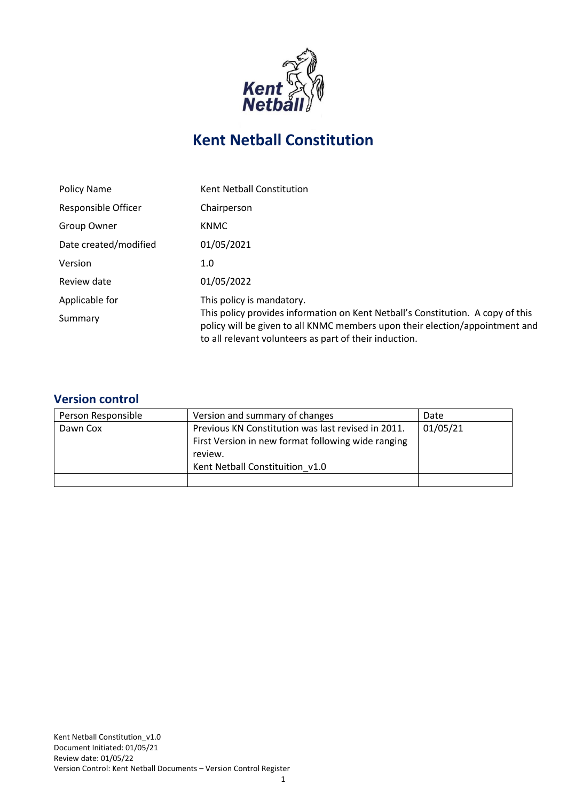

# **Kent Netball Constitution**

| Policy Name           | Kent Netball Constitution                                                                                                                                                                                                 |
|-----------------------|---------------------------------------------------------------------------------------------------------------------------------------------------------------------------------------------------------------------------|
| Responsible Officer   | Chairperson                                                                                                                                                                                                               |
| Group Owner           | <b>KNMC</b>                                                                                                                                                                                                               |
| Date created/modified | 01/05/2021                                                                                                                                                                                                                |
| Version               | 1.0                                                                                                                                                                                                                       |
| Review date           | 01/05/2022                                                                                                                                                                                                                |
| Applicable for        | This policy is mandatory.                                                                                                                                                                                                 |
| Summary               | This policy provides information on Kent Netball's Constitution. A copy of this<br>policy will be given to all KNMC members upon their election/appointment and<br>to all relevant volunteers as part of their induction. |

#### **Version control**

| Person Responsible | Version and summary of changes                                                                                                                         | Date     |
|--------------------|--------------------------------------------------------------------------------------------------------------------------------------------------------|----------|
| Dawn Cox           | Previous KN Constitution was last revised in 2011.<br>First Version in new format following wide ranging<br>review.<br>Kent Netball Constituition v1.0 | 01/05/21 |
|                    |                                                                                                                                                        |          |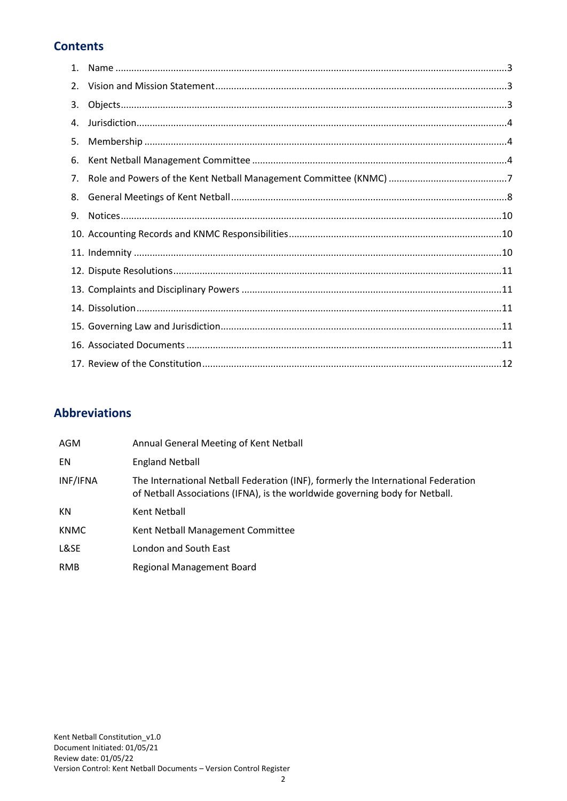## **Contents**

| 2. |  |
|----|--|
| 3. |  |
| 4. |  |
| 5. |  |
| 6. |  |
| 7. |  |
| 8. |  |
| 9. |  |
|    |  |
|    |  |
|    |  |
|    |  |
|    |  |
|    |  |
|    |  |
|    |  |

# **Abbreviations**

| AGM         | Annual General Meeting of Kent Netball                                                                                                                            |
|-------------|-------------------------------------------------------------------------------------------------------------------------------------------------------------------|
| EN          | <b>England Netball</b>                                                                                                                                            |
| INF/IFNA    | The International Netball Federation (INF), formerly the International Federation<br>of Netball Associations (IFNA), is the worldwide governing body for Netball. |
| KN          | Kent Netball                                                                                                                                                      |
| <b>KNMC</b> | Kent Netball Management Committee                                                                                                                                 |
| L&SE        | London and South East                                                                                                                                             |
| <b>RMB</b>  | Regional Management Board                                                                                                                                         |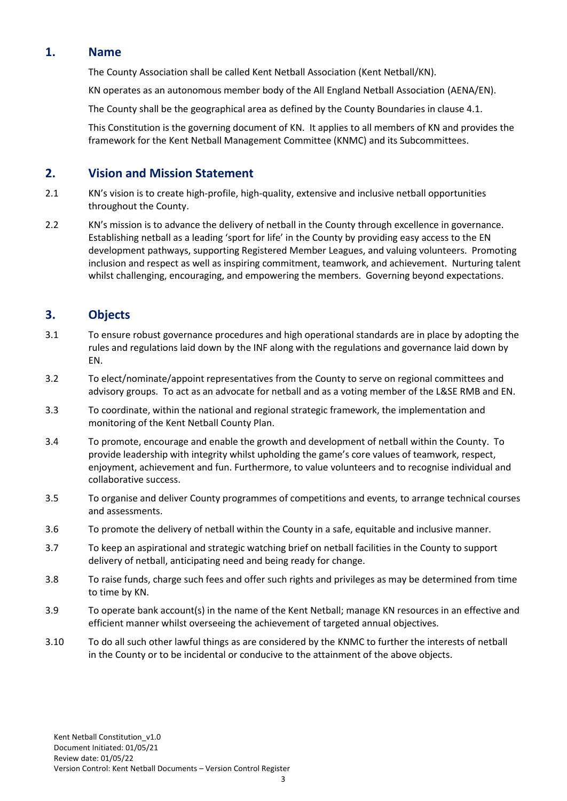## **1. Name**

<span id="page-2-0"></span>The County Association shall be called Kent Netball Association (Kent Netball/KN).

KN operates as an autonomous member body of the All England Netball Association (AENA/EN).

The County shall be the geographical area as defined by the County Boundaries in clause 4.1.

<span id="page-2-1"></span>This Constitution is the governing document of KN. It applies to all members of KN and provides the framework for the Kent Netball Management Committee (KNMC) and its Subcommittees.

## **2. Vision and Mission Statement**

- 2.1 KN's vision is to create high-profile, high-quality, extensive and inclusive netball opportunities throughout the County.
- 2.2 KN's mission is to advance the delivery of netball in the County through excellence in governance. Establishing netball as a leading 'sport for life' in the County by providing easy access to the EN development pathways, supporting Registered Member Leagues, and valuing volunteers. Promoting inclusion and respect as well as inspiring commitment, teamwork, and achievement. Nurturing talent whilst challenging, encouraging, and empowering the members. Governing beyond expectations.

## <span id="page-2-2"></span>**3. Objects**

- 3.1 To ensure robust governance procedures and high operational standards are in place by adopting the rules and regulations laid down by the INF along with the regulations and governance laid down by EN.
- 3.2 To elect/nominate/appoint representatives from the County to serve on regional committees and advisory groups. To act as an advocate for netball and as a voting member of the L&SE RMB and EN.
- 3.3 To coordinate, within the national and regional strategic framework, the implementation and monitoring of the Kent Netball County Plan.
- 3.4 To promote, encourage and enable the growth and development of netball within the County. To provide leadership with integrity whilst upholding the game's core values of teamwork, respect, enjoyment, achievement and fun. Furthermore, to value volunteers and to recognise individual and collaborative success.
- 3.5 To organise and deliver County programmes of competitions and events, to arrange technical courses and assessments.
- 3.6 To promote the delivery of netball within the County in a safe, equitable and inclusive manner.
- 3.7 To keep an aspirational and strategic watching brief on netball facilities in the County to support delivery of netball, anticipating need and being ready for change.
- 3.8 To raise funds, charge such fees and offer such rights and privileges as may be determined from time to time by KN.
- 3.9 To operate bank account(s) in the name of the Kent Netball; manage KN resources in an effective and efficient manner whilst overseeing the achievement of targeted annual objectives.
- 3.10 To do all such other lawful things as are considered by the KNMC to further the interests of netball in the County or to be incidental or conducive to the attainment of the above objects.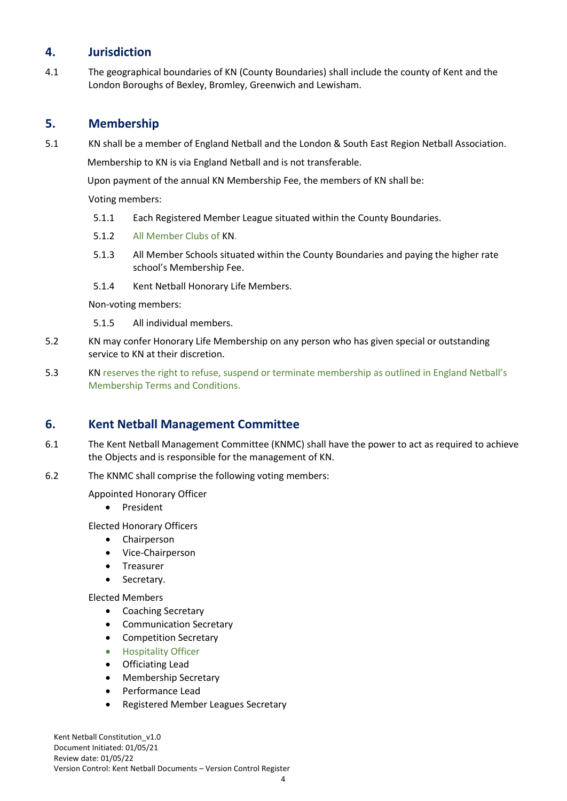## <span id="page-3-0"></span>**4. Jurisdiction**

4.1 The geographical boundaries of KN (County Boundaries) shall include the county of Kent and the London Boroughs of Bexley, Bromley, Greenwich and Lewisham.

## <span id="page-3-1"></span>**5. Membership**

5.1 KN shall be a member of England Netball and the London & South East Region Netball Association.

Membership to KN is via England Netball and is not transferable.

Upon payment of the annual KN Membership Fee, the members of KN shall be:

Voting members:

- 5.1.1 Each Registered Member League situated within the County Boundaries.
- 5.1.2 All Member Clubs of KN.
- 5.1.3 All Member Schools situated within the County Boundaries and paying the higher rate school's Membership Fee.
- 5.1.4 Kent Netball Honorary Life Members.

Non-voting members:

- 5.1.5 All individual members.
- 5.2 KN may confer Honorary Life Membership on any person who has given special or outstanding service to KN at their discretion.
- 5.3 KN reserves the right to refuse, suspend or terminate membership as outlined in England Netball's Membership Terms and Conditions.

## <span id="page-3-2"></span>**6. Kent Netball Management Committee**

- 6.1 The Kent Netball Management Committee (KNMC) shall have the power to act as required to achieve the Objects and is responsible for the management of KN.
- 6.2 The KNMC shall comprise the following voting members:

Appointed Honorary Officer

• President

Elected Honorary Officers

- Chairperson
- Vice-Chairperson
- **Treasurer**
- Secretary.

Elected Members

- Coaching Secretary
- Communication Secretary
- Competition Secretary
- Hospitality Officer
- Officiating Lead
- Membership Secretary
- Performance Lead
- Registered Member Leagues Secretary

Kent Netball Constitution v1.0 Document Initiated: 01/05/21 Review date: 01/05/22 Version Control: Kent Netball Documents – Version Control Register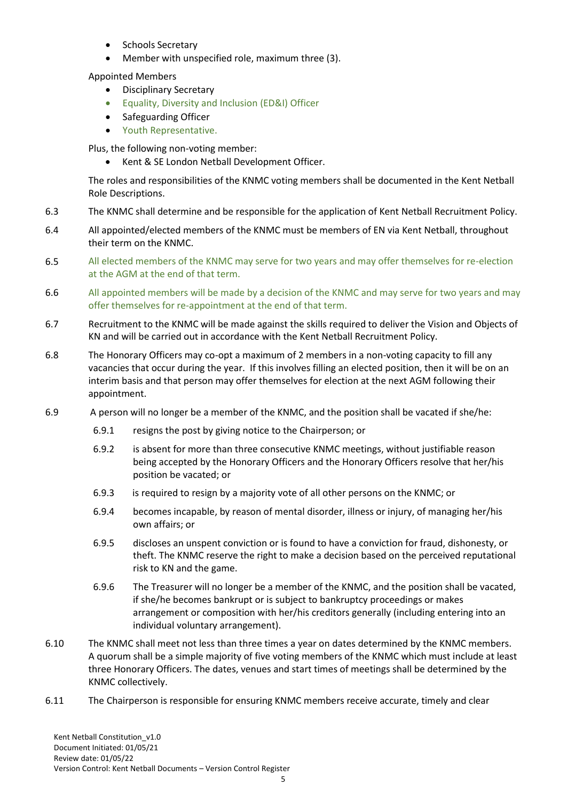- Schools Secretary
- Member with unspecified role, maximum three (3).

#### Appointed Members

- Disciplinary Secretary
- Equality, Diversity and Inclusion (ED&I) Officer
- Safeguarding Officer
- Youth Representative.

Plus, the following non-voting member:

• Kent & SE London Netball Development Officer.

The roles and responsibilities of the KNMC voting members shall be documented in the Kent Netball Role Descriptions.

- 6.3 The KNMC shall determine and be responsible for the application of Kent Netball Recruitment Policy.
- 6.4 All appointed/elected members of the KNMC must be members of EN via Kent Netball, throughout their term on the KNMC.
- 6.5 All elected members of the KNMC may serve for two years and may offer themselves for re-election at the AGM at the end of that term.
- 6.6 All appointed members will be made by a decision of the KNMC and may serve for two years and may offer themselves for re-appointment at the end of that term.
- 6.7 Recruitment to the KNMC will be made against the skills required to deliver the Vision and Objects of KN and will be carried out in accordance with the Kent Netball Recruitment Policy.
- 6.8 The Honorary Officers may co-opt a maximum of 2 members in a non-voting capacity to fill any vacancies that occur during the year. If this involves filling an elected position, then it will be on an interim basis and that person may offer themselves for election at the next AGM following their appointment.
- 6.9 A person will no longer be a member of the KNMC, and the position shall be vacated if she/he:
	- 6.9.1 resigns the post by giving notice to the Chairperson; or
	- 6.9.2 is absent for more than three consecutive KNMC meetings, without justifiable reason being accepted by the Honorary Officers and the Honorary Officers resolve that her/his position be vacated; or
	- 6.9.3 is required to resign by a majority vote of all other persons on the KNMC; or
	- 6.9.4 becomes incapable, by reason of mental disorder, illness or injury, of managing her/his own affairs; or
	- 6.9.5 discloses an unspent conviction or is found to have a conviction for fraud, dishonesty, or theft. The KNMC reserve the right to make a decision based on the perceived reputational risk to KN and the game.
	- 6.9.6 The Treasurer will no longer be a member of the KNMC, and the position shall be vacated, if she/he becomes bankrupt or is subject to bankruptcy proceedings or makes arrangement or composition with her/his creditors generally (including entering into an individual voluntary arrangement).
- 6.10 The KNMC shall meet not less than three times a year on dates determined by the KNMC members. A quorum shall be a simple majority of five voting members of the KNMC which must include at least three Honorary Officers. The dates, venues and start times of meetings shall be determined by the KNMC collectively.
- 6.11 The Chairperson is responsible for ensuring KNMC members receive accurate, timely and clear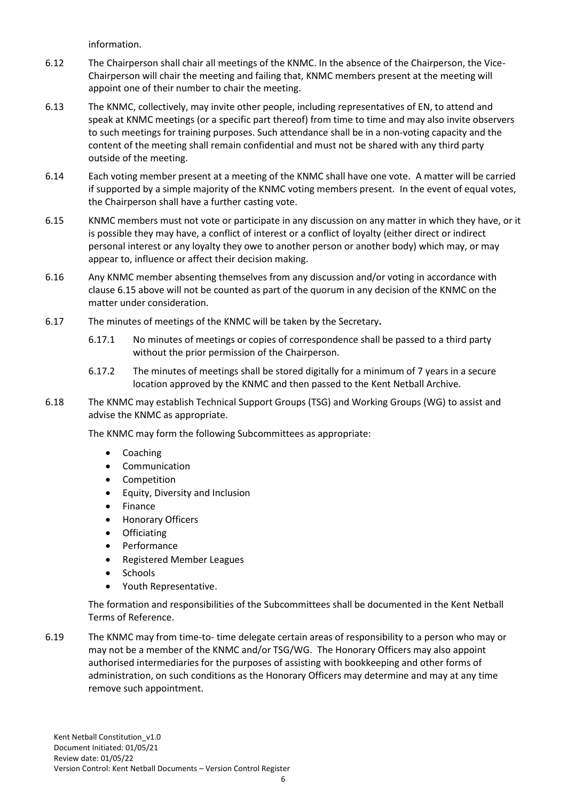information.

- 6.12 The Chairperson shall chair all meetings of the KNMC. In the absence of the Chairperson, the Vice-Chairperson will chair the meeting and failing that, KNMC members present at the meeting will appoint one of their number to chair the meeting.
- 6.13 The KNMC, collectively, may invite other people, including representatives of EN, to attend and speak at KNMC meetings (or a specific part thereof) from time to time and may also invite observers to such meetings for training purposes. Such attendance shall be in a non-voting capacity and the content of the meeting shall remain confidential and must not be shared with any third party outside of the meeting.
- 6.14 Each voting member present at a meeting of the KNMC shall have one vote. A matter will be carried if supported by a simple majority of the KNMC voting members present. In the event of equal votes, the Chairperson shall have a further casting vote.
- 6.15 KNMC members must not vote or participate in any discussion on any matter in which they have, or it is possible they may have, a conflict of interest or a conflict of loyalty (either direct or indirect personal interest or any loyalty they owe to another person or another body) which may, or may appear to, influence or affect their decision making.
- 6.16 Any KNMC member absenting themselves from any discussion and/or voting in accordance with clause 6.15 above will not be counted as part of the quorum in any decision of the KNMC on the matter under consideration.
- 6.17 The minutes of meetings of the KNMC will be taken by the Secretary**.**
	- 6.17.1 No minutes of meetings or copies of correspondence shall be passed to a third party without the prior permission of the Chairperson.
	- 6.17.2 The minutes of meetings shall be stored digitally for a minimum of 7 years in a secure location approved by the KNMC and then passed to the Kent Netball Archive.
- 6.18 The KNMC may establish Technical Support Groups (TSG) and Working Groups (WG) to assist and advise the KNMC as appropriate.

The KNMC may form the following Subcommittees as appropriate:

- Coaching
- Communication
- Competition
- Equity, Diversity and Inclusion
- Finance
- Honorary Officers
- Officiating
- Performance
- Registered Member Leagues
- Schools
- Youth Representative.

The formation and responsibilities of the Subcommittees shall be documented in the Kent Netball Terms of Reference.

6.19 The KNMC may from time-to- time delegate certain areas of responsibility to a person who may or may not be a member of the KNMC and/or TSG/WG. The Honorary Officers may also appoint authorised intermediaries for the purposes of assisting with bookkeeping and other forms of administration, on such conditions as the Honorary Officers may determine and may at any time remove such appointment.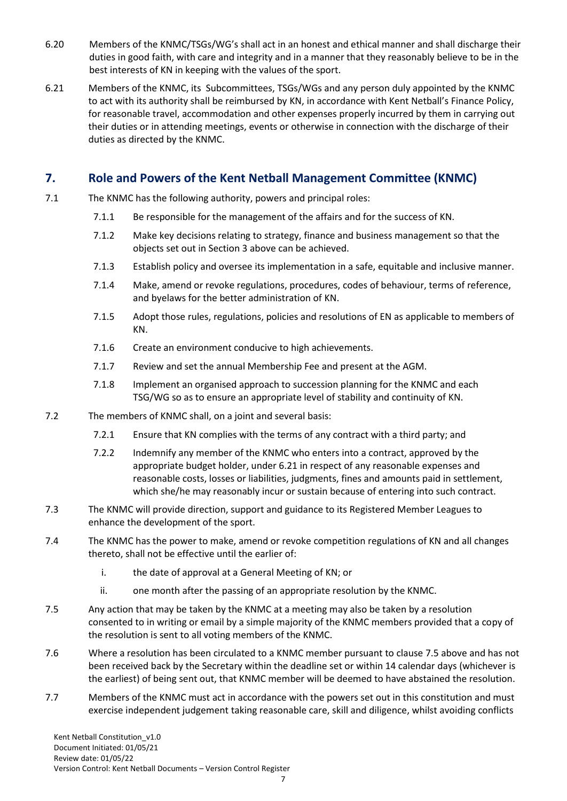- 6.20 Members of the KNMC/TSGs/WG's shall act in an honest and ethical manner and shall discharge their duties in good faith, with care and integrity and in a manner that they reasonably believe to be in the best interests of KN in keeping with the values of the sport.
- 6.21 Members of the KNMC, its Subcommittees, TSGs/WGs and any person duly appointed by the KNMC to act with its authority shall be reimbursed by KN, in accordance with Kent Netball's Finance Policy, for reasonable travel, accommodation and other expenses properly incurred by them in carrying out their duties or in attending meetings, events or otherwise in connection with the discharge of their duties as directed by the KNMC.

## <span id="page-6-0"></span>**7. Role and Powers of the Kent Netball Management Committee (KNMC)**

- 7.1 The KNMC has the following authority, powers and principal roles:
	- 7.1.1 Be responsible for the management of the affairs and for the success of KN.
	- 7.1.2 Make key decisions relating to strategy, finance and business management so that the objects set out in Section 3 above can be achieved.
	- 7.1.3 Establish policy and oversee its implementation in a safe, equitable and inclusive manner.
	- 7.1.4 Make, amend or revoke regulations, procedures, codes of behaviour, terms of reference, and byelaws for the better administration of KN.
	- 7.1.5 Adopt those rules, regulations, policies and resolutions of EN as applicable to members of KN.
	- 7.1.6 Create an environment conducive to high achievements.
	- 7.1.7 Review and set the annual Membership Fee and present at the AGM.
	- 7.1.8 Implement an organised approach to succession planning for the KNMC and each TSG/WG so as to ensure an appropriate level of stability and continuity of KN.
- 7.2 The members of KNMC shall, on a joint and several basis:
	- 7.2.1 Ensure that KN complies with the terms of any contract with a third party; and
	- 7.2.2 Indemnify any member of the KNMC who enters into a contract, approved by the appropriate budget holder, under 6.21 in respect of any reasonable expenses and reasonable costs, losses or liabilities, judgments, fines and amounts paid in settlement, which she/he may reasonably incur or sustain because of entering into such contract.
- 7.3 The KNMC will provide direction, support and guidance to its Registered Member Leagues to enhance the development of the sport.
- 7.4 The KNMC has the power to make, amend or revoke competition regulations of KN and all changes thereto, shall not be effective until the earlier of:
	- i. the date of approval at a General Meeting of KN; or
	- ii. one month after the passing of an appropriate resolution by the KNMC.
- 7.5 Any action that may be taken by the KNMC at a meeting may also be taken by a resolution consented to in writing or email by a simple majority of the KNMC members provided that a copy of the resolution is sent to all voting members of the KNMC.
- 7.6 Where a resolution has been circulated to a KNMC member pursuant to clause 7.5 above and has not been received back by the Secretary within the deadline set or within 14 calendar days (whichever is the earliest) of being sent out, that KNMC member will be deemed to have abstained the resolution.
- 7.7 Members of the KNMC must act in accordance with the powers set out in this constitution and must exercise independent judgement taking reasonable care, skill and diligence, whilst avoiding conflicts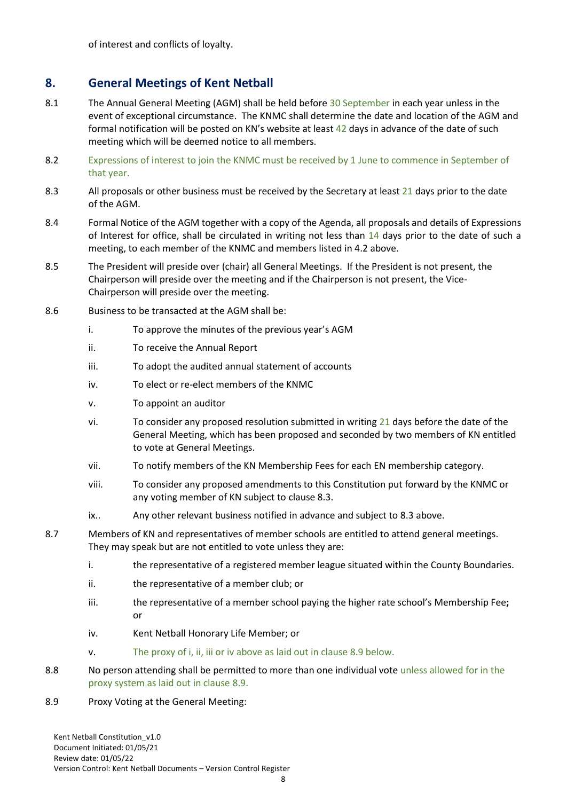<span id="page-7-0"></span>of interest and conflicts of loyalty.

## **8. General Meetings of Kent Netball**

- 8.1 The Annual General Meeting (AGM) shall be held before 30 September in each year unless in the event of exceptional circumstance. The KNMC shall determine the date and location of the AGM and formal notification will be posted on KN's website at least 42 days in advance of the date of such meeting which will be deemed notice to all members.
- 8.2 Expressions of interest to join the KNMC must be received by 1 June to commence in September of that year.
- 8.3 All proposals or other business must be received by the Secretary at least 21 days prior to the date of the AGM.
- 8.4 Formal Notice of the AGM together with a copy of the Agenda, all proposals and details of Expressions of Interest for office, shall be circulated in writing not less than 14 days prior to the date of such a meeting, to each member of the KNMC and members listed in 4.2 above.
- 8.5 The President will preside over (chair) all General Meetings. If the President is not present, the Chairperson will preside over the meeting and if the Chairperson is not present, the Vice-Chairperson will preside over the meeting.
- 8.6 Business to be transacted at the AGM shall be:
	- i. To approve the minutes of the previous year's AGM
	- ii. To receive the Annual Report
	- iii. To adopt the audited annual statement of accounts
	- iv. To elect or re-elect members of the KNMC
	- v. To appoint an auditor
	- vi. To consider any proposed resolution submitted in writing 21 days before the date of the General Meeting, which has been proposed and seconded by two members of KN entitled to vote at General Meetings.
	- vii. To notify members of the KN Membership Fees for each EN membership category.
	- viii. To consider any proposed amendments to this Constitution put forward by the KNMC or any voting member of KN subject to clause 8.3.
	- ix.. Any other relevant business notified in advance and subject to 8.3 above.
- 8.7 Members of KN and representatives of member schools are entitled to attend general meetings. They may speak but are not entitled to vote unless they are:
	- i. the representative of a registered member league situated within the County Boundaries.
	- ii. the representative of a member club; or
	- iii. the representative of a member school paying the higher rate school's Membership Fee**;**  or
	- iv. Kent Netball Honorary Life Member; or
	- v. The proxy of i, ii, iii or iv above as laid out in clause 8.9 below.
- 8.8 No person attending shall be permitted to more than one individual vote unless allowed for in the proxy system as laid out in clause 8.9.
- 8.9 Proxy Voting at the General Meeting: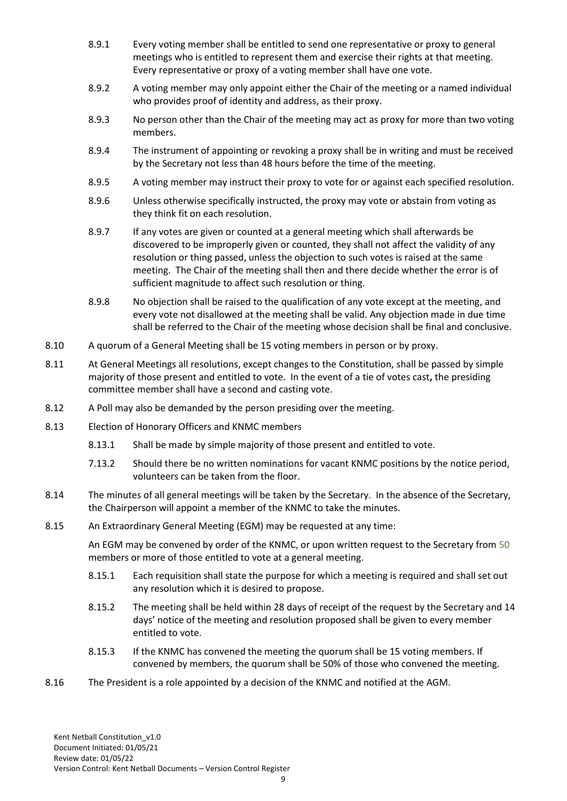- 8.9.1 Every voting member shall be entitled to send one representative or proxy to general meetings who is entitled to represent them and exercise their rights at that meeting. Every representative or proxy of a voting member shall have one vote.
- 8.9.2 A voting member may only appoint either the Chair of the meeting or a named individual who provides proof of identity and address, as their proxy.
- 8.9.3 No person other than the Chair of the meeting may act as proxy for more than two voting members.
- 8.9.4 The instrument of appointing or revoking a proxy shall be in writing and must be received by the Secretary not less than 48 hours before the time of the meeting.
- 8.9.5 A voting member may instruct their proxy to vote for or against each specified resolution.
- 8.9.6 Unless otherwise specifically instructed, the proxy may vote or abstain from voting as they think fit on each resolution.
- 8.9.7 If any votes are given or counted at a general meeting which shall afterwards be discovered to be improperly given or counted, they shall not affect the validity of any resolution or thing passed, unless the objection to such votes is raised at the same meeting. The Chair of the meeting shall then and there decide whether the error is of sufficient magnitude to affect such resolution or thing.
- 8.9.8 No objection shall be raised to the qualification of any vote except at the meeting, and every vote not disallowed at the meeting shall be valid. Any objection made in due time shall be referred to the Chair of the meeting whose decision shall be final and conclusive.
- 8.10 A quorum of a General Meeting shall be 15 voting members in person or by proxy.
- 8.11 At General Meetings all resolutions, except changes to the Constitution, shall be passed by simple majority of those present and entitled to vote. In the event of a tie of votes cast**,** the presiding committee member shall have a second and casting vote.
- 8.12 A Poll may also be demanded by the person presiding over the meeting.
- 8.13 Election of Honorary Officers and KNMC members
	- 8.13.1 Shall be made by simple majority of those present and entitled to vote.
	- 7.13.2 Should there be no written nominations for vacant KNMC positions by the notice period, volunteers can be taken from the floor.
- 8.14 The minutes of all general meetings will be taken by the Secretary. In the absence of the Secretary, the Chairperson will appoint a member of the KNMC to take the minutes.
- 8.15 An Extraordinary General Meeting (EGM) may be requested at any time:

An EGM may be convened by order of the KNMC, or upon written request to the Secretary from 50 members or more of those entitled to vote at a general meeting.

- 8.15.1 Each requisition shall state the purpose for which a meeting is required and shall set out any resolution which it is desired to propose.
- 8.15.2 The meeting shall be held within 28 days of receipt of the request by the Secretary and 14 days' notice of the meeting and resolution proposed shall be given to every member entitled to vote.
- 8.15.3 If the KNMC has convened the meeting the quorum shall be 15 voting members. If convened by members, the quorum shall be 50% of those who convened the meeting.
- 8.16 The President is a role appointed by a decision of the KNMC and notified at the AGM.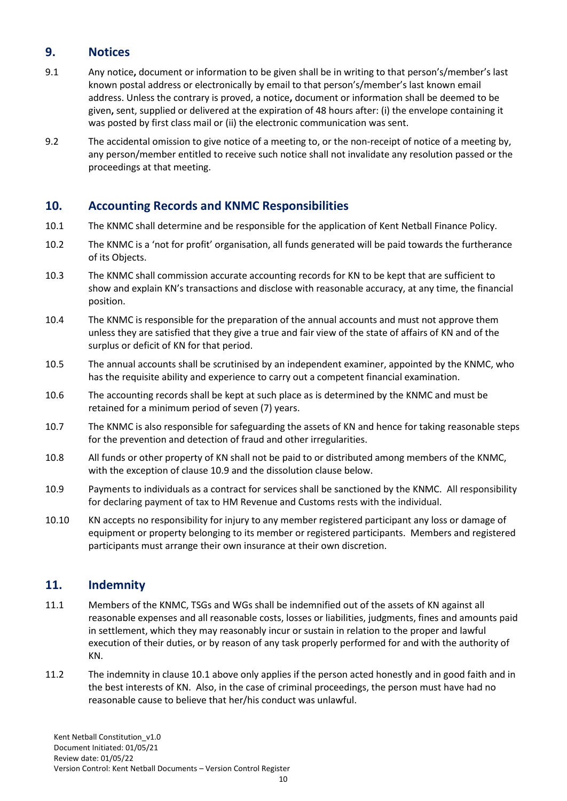## <span id="page-9-0"></span>**9. Notices**

- 9.1 Any notice**,** document or information to be given shall be in writing to that person's/member's last known postal address or electronically by email to that person's/member's last known email address. Unless the contrary is proved, a notice**,** document or information shall be deemed to be given**,** sent, supplied or delivered at the expiration of 48 hours after: (i) the envelope containing it was posted by first class mail or (ii) the electronic communication was sent.
- 9.2 The accidental omission to give notice of a meeting to, or the non-receipt of notice of a meeting by, any person/member entitled to receive such notice shall not invalidate any resolution passed or the proceedings at that meeting.

## <span id="page-9-1"></span>**10. Accounting Records and KNMC Responsibilities**

- 10.1 The KNMC shall determine and be responsible for the application of Kent Netball Finance Policy.
- 10.2 The KNMC is a 'not for profit' organisation, all funds generated will be paid towards the furtherance of its Objects.
- 10.3 The KNMC shall commission accurate accounting records for KN to be kept that are sufficient to show and explain KN's transactions and disclose with reasonable accuracy, at any time, the financial position.
- 10.4 The KNMC is responsible for the preparation of the annual accounts and must not approve them unless they are satisfied that they give a true and fair view of the state of affairs of KN and of the surplus or deficit of KN for that period.
- 10.5 The annual accounts shall be scrutinised by an independent examiner, appointed by the KNMC, who has the requisite ability and experience to carry out a competent financial examination.
- 10.6 The accounting records shall be kept at such place as is determined by the KNMC and must be retained for a minimum period of seven (7) years.
- 10.7 The KNMC is also responsible for safeguarding the assets of KN and hence for taking reasonable steps for the prevention and detection of fraud and other irregularities.
- 10.8 All funds or other property of KN shall not be paid to or distributed among members of the KNMC, with the exception of clause 10.9 and the dissolution clause below.
- 10.9 Payments to individuals as a contract for services shall be sanctioned by the KNMC. All responsibility for declaring payment of tax to HM Revenue and Customs rests with the individual.
- 10.10 KN accepts no responsibility for injury to any member registered participant any loss or damage of equipment or property belonging to its member or registered participants. Members and registered participants must arrange their own insurance at their own discretion.

## <span id="page-9-2"></span>**11. Indemnity**

- 11.1 Members of the KNMC, TSGs and WGs shall be indemnified out of the assets of KN against all reasonable expenses and all reasonable costs, losses or liabilities, judgments, fines and amounts paid in settlement, which they may reasonably incur or sustain in relation to the proper and lawful execution of their duties, or by reason of any task properly performed for and with the authority of KN.
- 11.2 The indemnity in clause 10.1 above only applies if the person acted honestly and in good faith and in the best interests of KN. Also, in the case of criminal proceedings, the person must have had no reasonable cause to believe that her/his conduct was unlawful.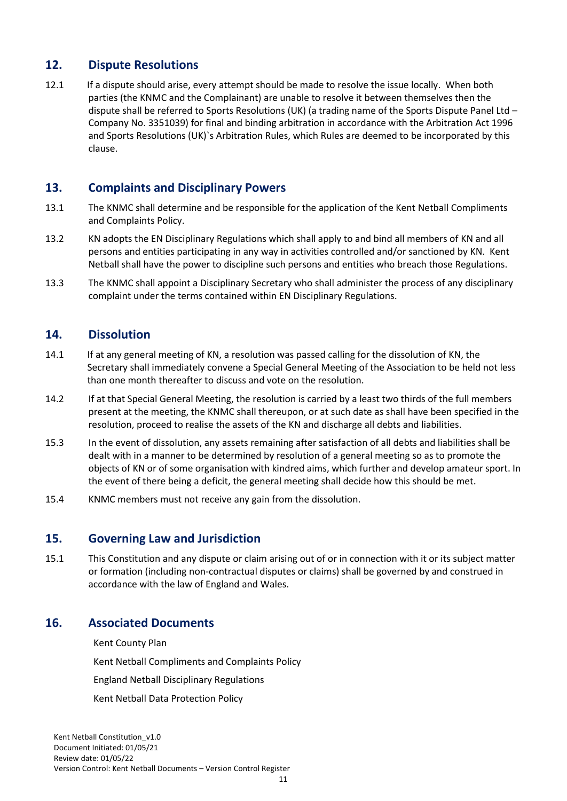## <span id="page-10-0"></span>**12. Dispute Resolutions**

12.1 If a dispute should arise, every attempt should be made to resolve the issue locally. When both parties (the KNMC and the Complainant) are unable to resolve it between themselves then the dispute shall be referred to Sports Resolutions (UK) (a trading name of the Sports Dispute Panel Ltd – Company No. 3351039) for final and binding arbitration in accordance with the Arbitration Act 1996 and Sports Resolutions (UK)`s Arbitration Rules, which Rules are deemed to be incorporated by this clause.

## <span id="page-10-1"></span>**13. Complaints and Disciplinary Powers**

- 13.1 The KNMC shall determine and be responsible for the application of the Kent Netball Compliments and Complaints Policy.
- 13.2 KN adopts the EN Disciplinary Regulations which shall apply to and bind all members of KN and all persons and entities participating in any way in activities controlled and/or sanctioned by KN. Kent Netball shall have the power to discipline such persons and entities who breach those Regulations.
- 13.3 The KNMC shall appoint a Disciplinary Secretary who shall administer the process of any disciplinary complaint under the terms contained within EN Disciplinary Regulations.

## <span id="page-10-2"></span>**14. Dissolution**

- 14.1 If at any general meeting of KN, a resolution was passed calling for the dissolution of KN, the Secretary shall immediately convene a Special General Meeting of the Association to be held not less than one month thereafter to discuss and vote on the resolution.
- 14.2 If at that Special General Meeting, the resolution is carried by a least two thirds of the full members present at the meeting, the KNMC shall thereupon, or at such date as shall have been specified in the resolution, proceed to realise the assets of the KN and discharge all debts and liabilities.
- 15.3 In the event of dissolution, any assets remaining after satisfaction of all debts and liabilities shall be dealt with in a manner to be determined by resolution of a general meeting so as to promote the objects of KN or of some organisation with kindred aims, which further and develop amateur sport. In the event of there being a deficit, the general meeting shall decide how this should be met.
- 15.4 KNMC members must not receive any gain from the dissolution.

#### <span id="page-10-3"></span>**15. Governing Law and Jurisdiction**

15.1 This Constitution and any dispute or claim arising out of or in connection with it or its subject matter or formation (including non-contractual disputes or claims) shall be governed by and construed in accordance with the law of England and Wales.

#### **16. Associated Documents**

<span id="page-10-4"></span>Kent County Plan

Kent Netball Compliments and Complaints Policy

England Netball Disciplinary Regulations

Kent Netball Data Protection Policy